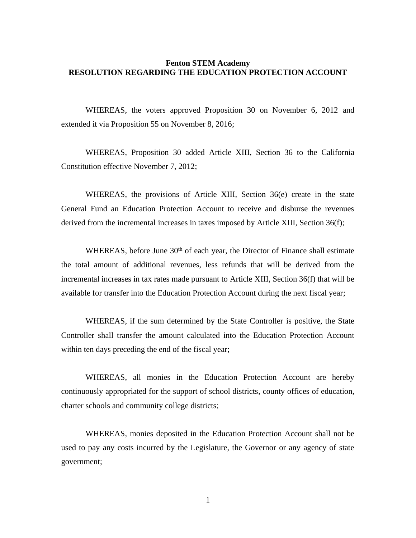## **Fenton STEM Academy RESOLUTION REGARDING THE EDUCATION PROTECTION ACCOUNT**

WHEREAS, the voters approved Proposition 30 on November 6, 2012 and extended it via Proposition 55 on November 8, 2016;

WHEREAS, Proposition 30 added Article XIII, Section 36 to the California Constitution effective November 7, 2012;

WHEREAS, the provisions of Article XIII, Section 36(e) create in the state General Fund an Education Protection Account to receive and disburse the revenues derived from the incremental increases in taxes imposed by Article XIII, Section 36(f);

WHEREAS, before June  $30<sup>th</sup>$  of each year, the Director of Finance shall estimate the total amount of additional revenues, less refunds that will be derived from the incremental increases in tax rates made pursuant to Article XIII, Section 36(f) that will be available for transfer into the Education Protection Account during the next fiscal year;

WHEREAS, if the sum determined by the State Controller is positive, the State Controller shall transfer the amount calculated into the Education Protection Account within ten days preceding the end of the fiscal year;

WHEREAS, all monies in the Education Protection Account are hereby continuously appropriated for the support of school districts, county offices of education, charter schools and community college districts;

WHEREAS, monies deposited in the Education Protection Account shall not be used to pay any costs incurred by the Legislature, the Governor or any agency of state government;

1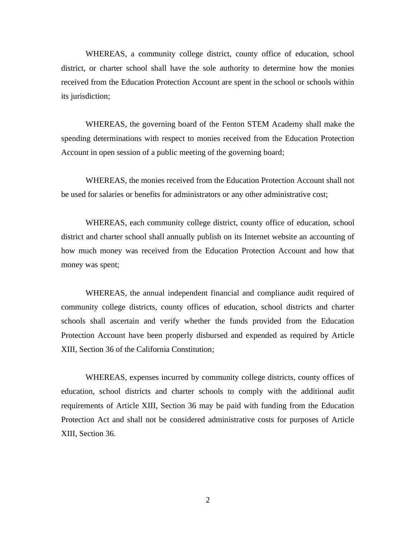WHEREAS, a community college district, county office of education, school district, or charter school shall have the sole authority to determine how the monies received from the Education Protection Account are spent in the school or schools within its jurisdiction;

WHEREAS, the governing board of the Fenton STEM Academy shall make the spending determinations with respect to monies received from the Education Protection Account in open session of a public meeting of the governing board;

WHEREAS, the monies received from the Education Protection Account shall not be used for salaries or benefits for administrators or any other administrative cost;

WHEREAS, each community college district, county office of education, school district and charter school shall annually publish on its Internet website an accounting of how much money was received from the Education Protection Account and how that money was spent;

WHEREAS, the annual independent financial and compliance audit required of community college districts, county offices of education, school districts and charter schools shall ascertain and verify whether the funds provided from the Education Protection Account have been properly disbursed and expended as required by Article XIII, Section 36 of the California Constitution;

WHEREAS, expenses incurred by community college districts, county offices of education, school districts and charter schools to comply with the additional audit requirements of Article XIII, Section 36 may be paid with funding from the Education Protection Act and shall not be considered administrative costs for purposes of Article XIII, Section 36.